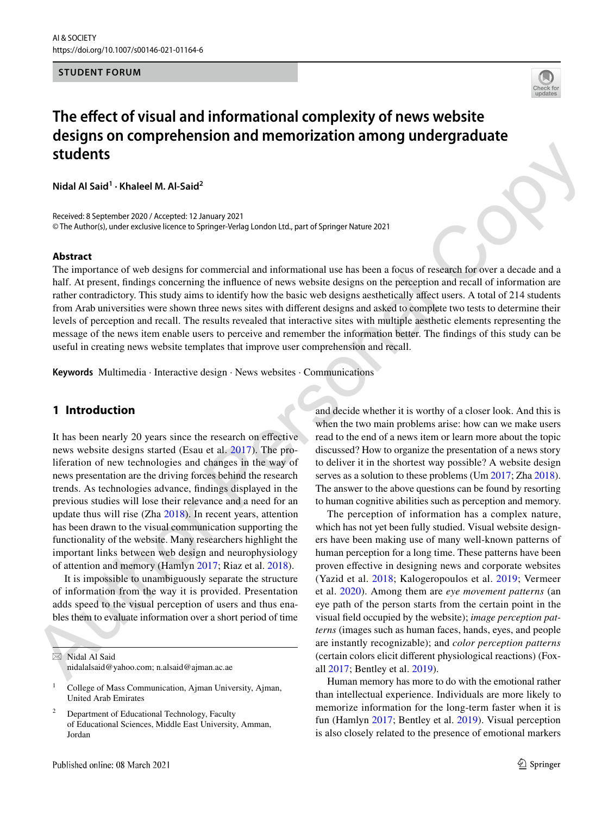### **STUDENT FORUM**



# **The effect of visual and informational complexity of news website designs on comprehension and memorization among undergraduate students**

**Nidal Al Said<sup>1</sup> · Khaleel M. Al‑Said<sup>2</sup>**

Received: 8 September 2020 / Accepted: 12 January 2021 © The Author(s), under exclusive licence to Springer-Verlag London Ltd., part of Springer Nature 2021

#### **Abstract**

**Students**<b[r](#page-8-0)> **Students**<br> **M[o](#page-7-1)del Al Sald<sup>2</sup><br>
Remindent MA-Sald<sup>2</sup><br>
Remindent MA-Sald2<sup>2</sup><br>
Remindent Maximilar Street of the comparison of the state of sixtering Maximident Comparison of the state of the control of the contr** The importance of web designs for commercial and informational use has been a focus of research for over a decade and a half. At present, findings concerning the influence of news website designs on the perception and recall of information are rather contradictory. This study aims to identify how the basic web designs aesthetically affect users. A total of 214 students from Arab universities were shown three news sites with different designs and asked to complete two tests to determine their levels of perception and recall. The results revealed that interactive sites with multiple aesthetic elements representing the message of the news item enable users to perceive and remember the information better. The findings of this study can be useful in creating news website templates that improve user comprehension and recall.

**Keywords** Multimedia · Interactive design · News websites · Communications

## **1 Introduction**

It has been nearly 20 years since the research on effective news website designs started (Esau et al. 2017). The proliferation of new technologies and changes in the way of news presentation are the driving forces behind the research trends. As technologies advance, findings displayed in the previous studies will lose their relevance and a need for an update thus will rise (Zha 2018). In recent years, attention has been drawn to the visual communication supporting the functionality of the website. Many researchers highlight the important links between web design and neurophysiology of attention and memory (Hamlyn 2017; Riaz et al. 2018).

It is impossible to unambiguously separate the structure of information from the way it is provided. Presentation adds speed to the visual perception of users and thus enables them to evaluate information over a short period of time

 $\boxtimes$  Nidal Al Said nidalalsaid@yahoo.com; n.alsaid@ajman.ac.ae

- 1 College of Mass Communication, Ajman University, Ajman, United Arab Emirates
- 2 Department of Educational Technology, Faculty of Educational Sciences, Middle East University, Amman, Jordan

and decide whether it is worthy of a closer look. And this is when the two main problems arise: how can we make users read to the end of a news item or learn more about the topic discussed? How to organize the presentation of a news story to deliver it in the shortest way possible? A website design serves as a solution to these problems (Um 2017; Zha 2018). The answer to the above questions can be found by resorting to human cognitive abilities such as perception and memory.

The perception of information has a complex nature, which has not yet been fully studied. Visual website designers have been making use of many well-known patterns of human perception for a long time. These patterns have been proven effective in designing news and corporate websites (Yazid et al. 2018; Kalogeropoulos et al. 2019; Vermeer et al. 2020). Among them are *eye movement patterns* (an eye path of the person starts from the certain point in the visual field occupied by the website); *image perception patterns* (images such as human faces, hands, eyes, and people are instantly recognizable); and *color perception patterns* (certain colors elicit different physiological reactions) (Foxall 2017; Bentley et al. 2019).

Human memory has more to do with the emotional rather than intellectual experience. Individuals are more likely to memorize information for the long-term faster when it is fun (Hamlyn [2017](#page-7-1); Bentley et al. [2019\)](#page-7-4). Visual perception is also closely related to the presence of emotional markers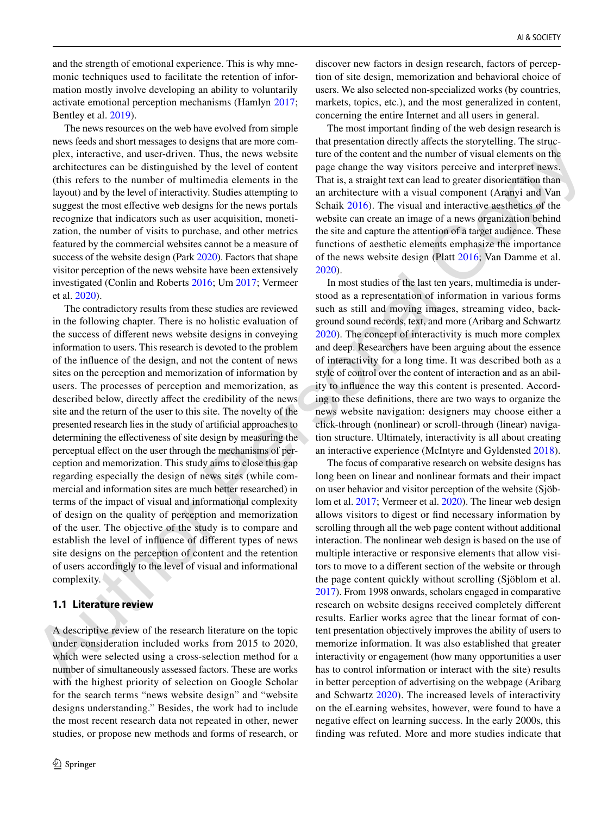and the strength of emotional experience. This is why mnemonic techniques used to facilitate the retention of information mostly involve developing an ability to voluntarily activate emotional perception mechanisms (Hamlyn [2017](#page-7-1); Bentley et al. [2019\)](#page-7-4).

The news resources on the web have evolved from simple news feeds and short messages to designs that are more complex, interactive, and user-driven. Thus, the news website architectures can be distinguished by the level of content (this refers to the number of multimedia elements in the layout) and by the level of interactivity. Studies attempting to suggest the most effective web designs for the news portals recognize that indicators such as user acquisition, monetization, the number of visits to purchase, and other metrics featured by the commercial websites cannot be a measure of success of the website design (Park 2020). Factors that shape visitor perception of the news website have been extensively investigated (Conlin and Roberts 2016; Um 2017; Vermeer et al. 2020).

procedure and the external continue in the measure of the measure in the the continue in the external continue in the stationary extends the external continue in the stationary extends the external continue in the externa The contradictory results from these studies are reviewed in the following chapter. There is no holistic evaluation of the success of different news website designs in conveying information to users. This research is devoted to the problem of the influence of the design, and not the content of news sites on the perception and memorization of information by users. The processes of perception and memorization, as described below, directly affect the credibility of the news site and the return of the user to this site. The novelty of the presented research lies in the study of artificial approaches to determining the effectiveness of site design by measuring the perceptual effect on the user through the mechanisms of perception and memorization. This study aims to close this gap regarding especially the design of news sites (while commercial and information sites are much better researched) in terms of the impact of visual and informational complexity of design on the quality of perception and memorization of the user. The objective of the study is to compare and establish the level of influence of different types of news site designs on the perception of content and the retention of users accordingly to the level of visual and informational complexity.

## **1.1 Literature review**

A descriptive review of the research literature on the topic under consideration included works from 2015 to 2020, which were selected using a cross-selection method for a number of simultaneously assessed factors. These are works with the highest priority of selection on Google Scholar for the search terms "news website design" and "website designs understanding." Besides, the work had to include the most recent research data not repeated in other, newer studies, or propose new methods and forms of research, or discover new factors in design research, factors of perception of site design, memorization and behavioral choice of users. We also selected non-specialized works (by countries, markets, topics, etc.), and the most generalized in content, concerning the entire Internet and all users in general.

The most important finding of the web design research is that presentation directly affects the storytelling. The structure of the content and the number of visual elements on the page change the way visitors perceive and interpret news. That is, a straight text can lead to greater disorientation than an architecture with a visual component (Aranyi and Van Schaik 2016). The visual and interactive aesthetics of the website can create an image of a news organization behind the site and capture the attention of a target audience. These functions of aesthetic elements emphasize the importance of the news website design (Platt 2016; Van Damme et al. 2020).

In most studies of the last ten years, multimedia is understood as a representation of information in various forms such as still and moving images, streaming video, background sound records, text, and more (Aribarg and Schwartz 2020). The concept of interactivity is much more complex and deep. Researchers have been arguing about the essence of interactivity for a long time. It was described both as a style of control over the content of interaction and as an ability to influence the way this content is presented. According to these definitions, there are two ways to organize the news website navigation: designers may choose either a click-through (nonlinear) or scroll-through (linear) navigation structure. Ultimately, interactivity is all about creating an interactive experience (McIntyre and Gyldensted 2018).

The focus of comparative research on website designs has long been on linear and nonlinear formats and their impact on user behavior and visitor perception of the website (Sjöblom et al. 2017; Vermeer et al. 2020). The linear web design allows visitors to digest or find necessary information by scrolling through all the web page content without additional interaction. The nonlinear web design is based on the use of multiple interactive or responsive elements that allow visitors to move to a different section of the website or through the page content quickly without scrolling (Sjöblom et al. 2017). From 1998 onwards, scholars engaged in comparative research on website designs received completely different results. Earlier works agree that the linear format of content presentation objectively improves the ability of users to memorize information. It was also established that greater interactivity or engagement (how many opportunities a user has to control information or interact with the site) results in better perception of advertising on the webpage (Aribarg and Schwartz [2020\)](#page-7-7). The increased levels of interactivity on the eLearning websites, however, were found to have a negative effect on learning success. In the early 2000s, this finding was refuted. More and more studies indicate that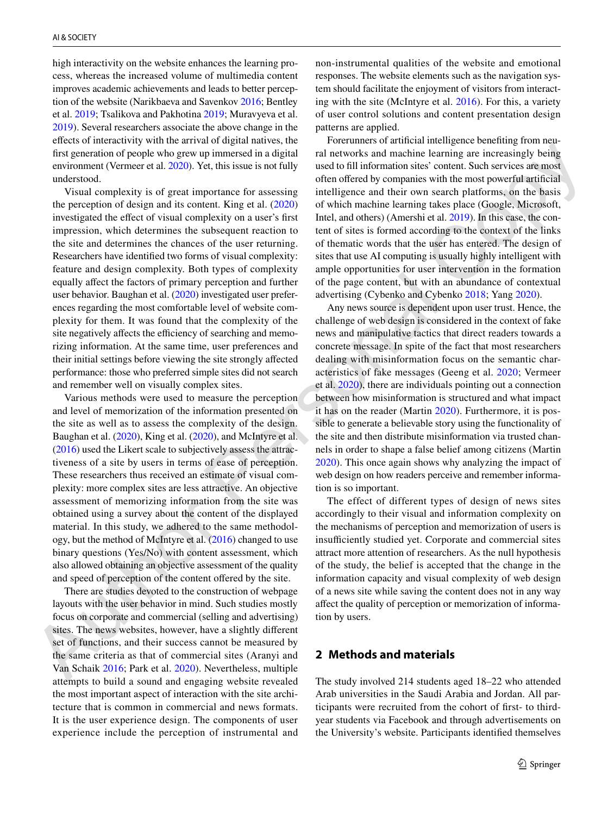high interactivity on the website enhances the learning process, whereas the increased volume of multimedia content improves academic achievements and leads to better perception of the website (Narikbaeva and Savenkov [2016](#page-8-10); Bentley et al. [2019;](#page-7-4) Tsalikova and Pakhotina [2019;](#page-8-11) Muravyeva et al. [2019](#page-8-12)). Several researchers associate the above change in the effects of interactivity with the arrival of digital natives, the first generation of people who grew up immersed in a digital environment (Vermeer et al. 2020). Yet, this issue is not fully understood.

fact gene[r](#page-8-14)ation and poply when generation and interesting constraints are increasing being constraints and constraints are increasing being the constraints are increasing being a constraints are increasing the constraints Visual complexity is of great importance for assessing the perception of design and its content. King et al. (2020) investigated the effect of visual complexity on a user's first impression, which determines the subsequent reaction to the site and determines the chances of the user returning. Researchers have identified two forms of visual complexity: feature and design complexity. Both types of complexity equally affect the factors of primary perception and further user behavior. Baughan et al. (2020) investigated user preferences regarding the most comfortable level of website complexity for them. It was found that the complexity of the site negatively affects the efficiency of searching and memorizing information. At the same time, user preferences and their initial settings before viewing the site strongly affected performance: those who preferred simple sites did not search and remember well on visually complex sites.

Various methods were used to measure the perception and level of memorization of the information presented on the site as well as to assess the complexity of the design. Baughan et al. (2020), King et al. (2020), and McIntyre et al. (2016) used the Likert scale to subjectively assess the attractiveness of a site by users in terms of ease of perception. These researchers thus received an estimate of visual complexity: more complex sites are less attractive. An objective assessment of memorizing information from the site was obtained using a survey about the content of the displayed material. In this study, we adhered to the same methodology, but the method of McIntyre et al. (2016) changed to use binary questions (Yes/No) with content assessment, which also allowed obtaining an objective assessment of the quality and speed of perception of the content offered by the site.

There are studies devoted to the construction of webpage layouts with the user behavior in mind. Such studies mostly focus on corporate and commercial (selling and advertising) sites. The news websites, however, have a slightly different set of functions, and their success cannot be measured by the same criteria as that of commercial sites (Aranyi and Van Schaik 2016; Park et al. 2020). Nevertheless, multiple attempts to build a sound and engaging website revealed the most important aspect of interaction with the site architecture that is common in commercial and news formats. It is the user experience design. The components of user experience include the perception of instrumental and non-instrumental qualities of the website and emotional responses. The website elements such as the navigation system should facilitate the enjoyment of visitors from interacting with the site (McIntyre et al. [2016\)](#page-8-14). For this, a variety of user control solutions and content presentation design patterns are applied.

Forerunners of artificial intelligence benefiting from neural networks and machine learning are increasingly being used to fill information sites' content. Such services are most often offered by companies with the most powerful artificial intelligence and their own search platforms, on the basis of which machine learning takes place (Google, Microsoft, Intel, and others) (Amershi et al. 2019). In this case, the content of sites is formed according to the context of the links of thematic words that the user has entered. The design of sites that use AI computing is usually highly intelligent with ample opportunities for user intervention in the formation of the page content, but with an abundance of contextual advertising (Cybenko and Cybenko 2018; Yang 2020).

Any news source is dependent upon user trust. Hence, the challenge of web design is considered in the context of fake news and manipulative tactics that direct readers towards a concrete message. In spite of the fact that most researchers dealing with misinformation focus on the semantic characteristics of fake messages (Geeng et al. 2020; Vermeer et al. 2020), there are individuals pointing out a connection between how misinformation is structured and what impact it has on the reader (Martin 2020). Furthermore, it is possible to generate a believable story using the functionality of the site and then distribute misinformation via trusted channels in order to shape a false belief among citizens (Martin 2020). This once again shows why analyzing the impact of web design on how readers perceive and remember information is so important.

The effect of different types of design of news sites accordingly to their visual and information complexity on the mechanisms of perception and memorization of users is insufficiently studied yet. Corporate and commercial sites attract more attention of researchers. As the null hypothesis of the study, the belief is accepted that the change in the information capacity and visual complexity of web design of a news site while saving the content does not in any way affect the quality of perception or memorization of information by users.

## **2 Methods and materials**

The study involved 214 students aged 18–22 who attended Arab universities in the Saudi Arabia and Jordan. All participants were recruited from the cohort of first- to thirdyear students via Facebook and through advertisements on the University's website. Participants identified themselves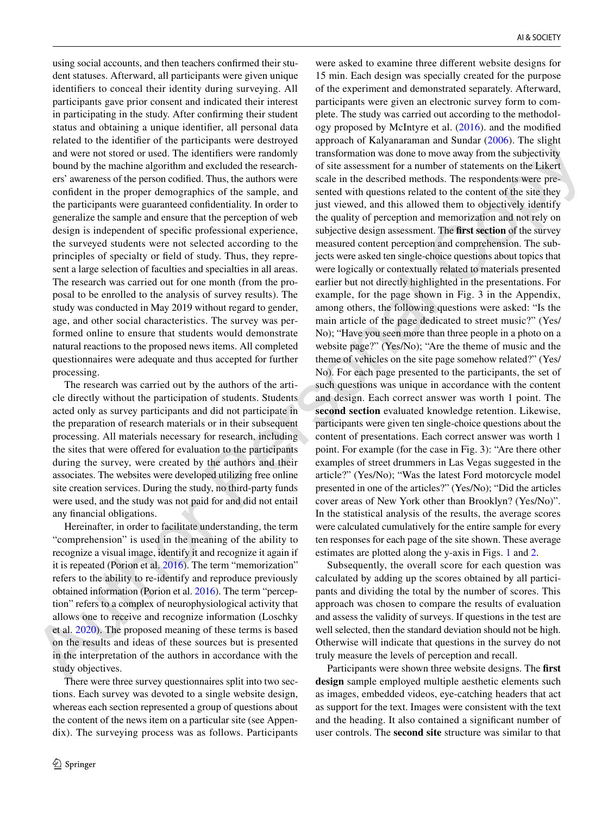using social accounts, and then teachers confirmed their student statuses. Afterward, all participants were given unique identifiers to conceal their identity during surveying. All participants gave prior consent and indicated their interest in participating in the study. After confirming their student status and obtaining a unique identifier, all personal data related to the identifier of the participants were destroyed and were not stored or used. The identifiers were randomly bound by the machine algorithm and excluded the researchers' awareness of the person codified. Thus, the authors were confident in the proper demographics of the sample, and the participants were guaranteed confidentiality. In order to generalize the sample and ensure that the perception of web design is independent of specific professional experience, the surveyed students were not selected according to the principles of specialty or field of study. Thus, they represent a large selection of faculties and specialties in all areas. The research was carried out for one month (from the proposal to be enrolled to the analysis of survey results). The study was conducted in May 2019 without regard to gender, age, and other social characteristics. The survey was performed online to ensure that students would demonstrate natural reactions to the proposed news items. All completed questionnaires were adequate and thus accepted for further processing.

The research was carried out by the authors of the article directly without the participation of students. Students acted only as survey participants and did not participate in the preparation of research materials or in their subsequent processing. All materials necessary for research, including the sites that were offered for evaluation to the participants during the survey, were created by the authors and their associates. The websites were developed utilizing free online site creation services. During the study, no third-party funds were used, and the study was not paid for and did not entail any financial obligations.

Hereinafter, in order to facilitate understanding, the term "comprehension" is used in the meaning of the ability to recognize a visual image, identify it and recognize it again if it is repeated (Porion et al. 2016). The term "memorization" refers to the ability to re-identify and reproduce previously obtained information (Porion et al. 2016). The term "perception" refers to a complex of neurophysiological activity that allows one to receive and recognize information (Loschky et al. 2020). The proposed meaning of these terms is based on the results and ideas of these sources but is presented in the interpretation of the authors in accordance with the study objectives.

There were three survey questionnaires split into two sections. Each survey was devoted to a single website design, whereas each section represented a group of questions about the content of the news item on a particular site (see Appendix). The surveying process was as follows. Participants

and were not once of the determinion was careful that we have been accounted were also as well from the specific contains a state of the specific contains a state of the specific contains a state of the specific contains were asked to examine three different website designs for 15 min. Each design was specially created for the purpose of the experiment and demonstrated separately. Afterward, participants were given an electronic survey form to complete. The study was carried out according to the methodology proposed by McIntyre et al. [\(2016\)](#page-8-14). and the modified approach of Kalyanaraman and Sundar [\(2006\)](#page-8-19). The slight transformation was done to move away from the subjectivity of site assessment for a number of statements on the Likert scale in the described methods. The respondents were presented with questions related to the content of the site they just viewed, and this allowed them to objectively identify the quality of perception and memorization and not rely on subjective design assessment. The **first section** of the survey measured content perception and comprehension. The subjects were asked ten single-choice questions about topics that were logically or contextually related to materials presented earlier but not directly highlighted in the presentations. For example, for the page shown in Fig. 3 in the Appendix, among others, the following questions were asked: "Is the main article of the page dedicated to street music?" (Yes/ No); "Have you seen more than three people in a photo on a website page?" (Yes/No); "Are the theme of music and the theme of vehicles on the site page somehow related?" (Yes/ No). For each page presented to the participants, the set of such questions was unique in accordance with the content and design. Each correct answer was worth 1 point. The **second section** evaluated knowledge retention. Likewise, participants were given ten single-choice questions about the content of presentations. Each correct answer was worth 1 point. For example (for the case in Fig. 3): "Are there other examples of street drummers in Las Vegas suggested in the article?" (Yes/No); "Was the latest Ford motorcycle model presented in one of the articles?" (Yes/No); "Did the articles cover areas of New York other than Brooklyn? (Yes/No)". In the statistical analysis of the results, the average scores were calculated cumulatively for the entire sample for every ten responses for each page of the site shown. These average estimates are plotted along the y-axis in Figs. 1 and 2.

Subsequently, the overall score for each question was calculated by adding up the scores obtained by all participants and dividing the total by the number of scores. This approach was chosen to compare the results of evaluation and assess the validity of surveys. If questions in the test are well selected, then the standard deviation should not be high. Otherwise will indicate that questions in the survey do not truly measure the levels of perception and recall.

Participants were shown three website designs. The **first design** sample employed multiple aesthetic elements such as images, embedded videos, eye-catching headers that act as support for the text. Images were consistent with the text and the heading. It also contained a significant number of user controls. The **second site** structure was similar to that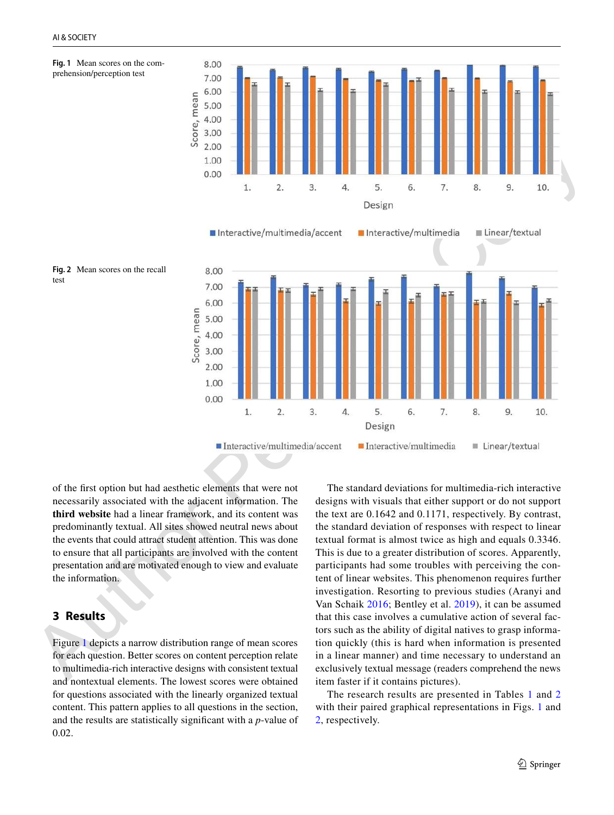<span id="page-4-0"></span>



<span id="page-4-1"></span>



of the first option but had aesthetic elements that were not necessarily associated with the adjacent information. The **third website** had a linear framework, and its content was predominantly textual. All sites showed neutral news about the events that could attract student attention. This was done to ensure that all participants are involved with the content presentation and are motivated enough to view and evaluate the information.

## **3 Results**

Figure 1 depicts a narrow distribution range of mean scores for each question. Better scores on content perception relate to multimedia-rich interactive designs with consistent textual and nontextual elements. The lowest scores were obtained for questions associated with the linearly organized textual content. This pattern applies to all questions in the section, and the results are statistically significant with a *p*-value of 0.02.

The standard deviations for multimedia-rich interactive designs with visuals that either support or do not support the text are 0.1642 and 0.1171, respectively. By contrast, the standard deviation of responses with respect to linear textual format is almost twice as high and equals 0.3346. This is due to a greater distribution of scores. Apparently, participants had some troubles with perceiving the content of linear websites. This phenomenon requires further investigation. Resorting to previous studies (Aranyi and Van Schaik 2016; Bentley et al. 2019), it can be assumed that this case involves a cumulative action of several factors such as the ability of digital natives to grasp information quickly (this is hard when information is presented in a linear manner) and time necessary to understand an exclusively textual message (readers comprehend the news item faster if it contains pictures).

The research results are presented in Tables [1](#page-5-0) and [2](#page-5-1) with their paired graphical representations in Figs. [1](#page-4-0) and [2](#page-4-1), respectively.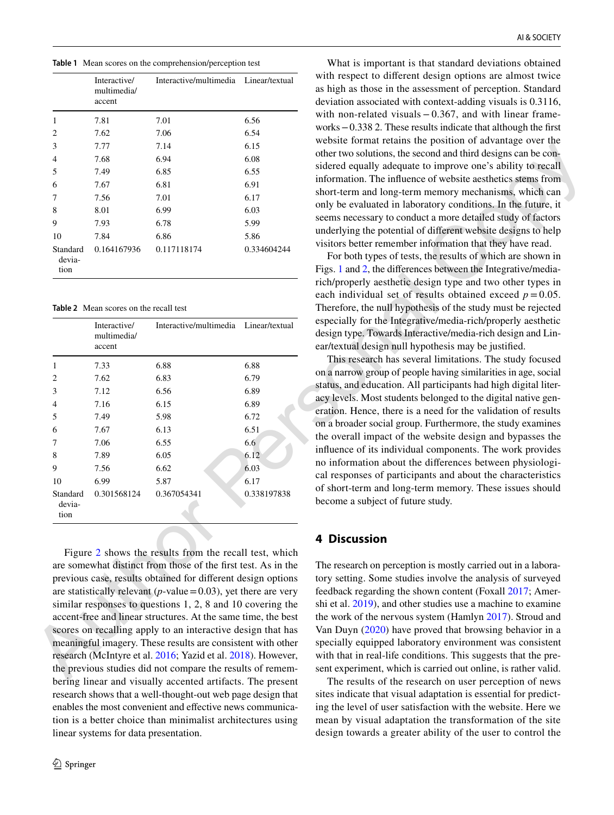<span id="page-5-0"></span>**Table 1** Mean scores on the comprehension/perception test

|                            | Interactive/<br>multimedia/<br>accent | Interactive/multimedia Linear/textual |             |
|----------------------------|---------------------------------------|---------------------------------------|-------------|
| 1                          | 7.81                                  | 7.01                                  | 6.56        |
| 2                          | 7.62                                  | 7.06                                  | 6.54        |
| 3                          | 7.77                                  | 7.14                                  | 6.15        |
| 4                          | 7.68                                  | 6.94                                  | 6.08        |
| 5                          | 7.49                                  | 6.85                                  | 6.55        |
| 6                          | 7.67                                  | 6.81                                  | 6.91        |
| 7                          | 7.56                                  | 7.01                                  | 6.17        |
| 8                          | 8.01                                  | 6.99                                  | 6.03        |
| 9                          | 7.93                                  | 6.78                                  | 5.99        |
| 10                         | 7.84                                  | 6.86                                  | 5.86        |
| Standard<br>devia-<br>tion | 0.164167936                           | 0.117118174                           | 0.334604244 |

<span id="page-5-1"></span>**Table 2** Mean scores on the recall test

| 3                          | 7.77                                                          | 7.14                                                                                                                                                                                    | 6.15        | cosite format retains the position of auvantage over the                                                                                                                                                                                               |
|----------------------------|---------------------------------------------------------------|-----------------------------------------------------------------------------------------------------------------------------------------------------------------------------------------|-------------|--------------------------------------------------------------------------------------------------------------------------------------------------------------------------------------------------------------------------------------------------------|
| 4                          | 7.68                                                          | 6.94                                                                                                                                                                                    | 6.08        | other two solutions, the second and third designs can be con-                                                                                                                                                                                          |
| 5                          | 7.49                                                          | 6.85                                                                                                                                                                                    | 6.55        | sidered equally adequate to improve one's ability to recall                                                                                                                                                                                            |
| 6                          | 7.67                                                          | 6.81                                                                                                                                                                                    | 6.91        | information. The influence of website aesthetics stems from                                                                                                                                                                                            |
| 7                          | 7.56                                                          | 7.01                                                                                                                                                                                    | 6.17        | short-term and long-term memory mechanisms, which can                                                                                                                                                                                                  |
| 8                          | 8.01                                                          | 6.99                                                                                                                                                                                    | 6.03        | only be evaluated in laboratory conditions. In the future, it                                                                                                                                                                                          |
| 9                          | 7.93                                                          | 6.78                                                                                                                                                                                    | 5.99        | seems necessary to conduct a more detailed study of factors                                                                                                                                                                                            |
| 10                         | 7.84                                                          | 6.86                                                                                                                                                                                    | 5.86        | underlying the potential of different website designs to help                                                                                                                                                                                          |
| Standard<br>devia-<br>tion | 0.164167936                                                   | 0.117118174                                                                                                                                                                             | 0.334604244 | visitors better remember information that they have read.<br>For both types of tests, the results of which are shown in<br>Figs. 1 and 2, the differences between the Integrative/media-<br>rich/properly aesthetic design type and two other types in |
|                            | <b>Table 2</b> Mean scores on the recall test<br>Interactive/ | Interactive/multimedia Linear/textual                                                                                                                                                   |             | each individual set of results obtained exceed $p = 0.05$ .<br>Therefore, the null hypothesis of the study must be rejected<br>especially for the Integrative/media-rich/properly aesthetic                                                            |
|                            | multimedia/<br>accent                                         |                                                                                                                                                                                         |             | design type. Towards Interactive/media-rich design and Lin-<br>ear/textual design null hypothesis may be justified.                                                                                                                                    |
| $\mathbf{1}$               | 7.33                                                          | 6.88                                                                                                                                                                                    | 6.88        | This research has several limitations. The study focused                                                                                                                                                                                               |
| 2                          | 7.62                                                          | 6.83                                                                                                                                                                                    | 6.79        | on a narrow group of people having similarities in age, social                                                                                                                                                                                         |
| 3                          | 7.12                                                          | 6.56                                                                                                                                                                                    | 6.89        | status, and education. All participants had high digital liter-                                                                                                                                                                                        |
| 4                          | 7.16                                                          | 6.15                                                                                                                                                                                    | 6.89        | acy levels. Most students belonged to the digital native gen-                                                                                                                                                                                          |
| 5                          | 7.49                                                          | 5.98                                                                                                                                                                                    | 6.72        | eration. Hence, there is a need for the validation of results                                                                                                                                                                                          |
| 6                          | 7.67                                                          | 6.13                                                                                                                                                                                    | 6.51        | on a broader social group. Furthermore, the study examines                                                                                                                                                                                             |
| 7                          | 7.06                                                          | 6.55                                                                                                                                                                                    | 6.6         | the overall impact of the website design and bypasses the<br>influence of its individual components. The work provides                                                                                                                                 |
| 8                          | 7.89                                                          | 6.05                                                                                                                                                                                    | 6.12        | no information about the differences between physiologi-                                                                                                                                                                                               |
| 9                          | 7.56                                                          | 6.62                                                                                                                                                                                    | 6.03        | cal responses of participants and about the characteristics                                                                                                                                                                                            |
| 10                         | 6.99                                                          | 5.87                                                                                                                                                                                    | 6.17        | of short-term and long-term memory. These issues should                                                                                                                                                                                                |
| Standard<br>devia-<br>tion | 0.301568124                                                   | 0.367054341                                                                                                                                                                             | 0.338197838 | become a subject of future study.                                                                                                                                                                                                                      |
|                            |                                                               |                                                                                                                                                                                         |             | <b>4 Discussion</b>                                                                                                                                                                                                                                    |
|                            |                                                               | Figure 2 shows the results from the recall test, which<br>are somewhat distinct from those of the first test. As in the<br>previous case, results obtained for different design options |             | The research on perception is mostly carried out in a labora-<br>tory setting. Some studies involve the analysis of surveyed                                                                                                                           |
|                            |                                                               | are statistically relevant ( $p$ -value = 0.03), yet there are very                                                                                                                     |             | feedback regarding the shown content (Foxall 2017; Amer-                                                                                                                                                                                               |
|                            |                                                               | similar responses to questions $1, 2, 8$ and $10$ covering the<br>accent-free and linear structures. At the same time, the best                                                         |             | shi et al. 2019), and other studies use a machine to examine<br>the work of the nervous system (Hamlyn 2017). Stroud and                                                                                                                               |
|                            |                                                               | scores on recalling apply to an interactive design that has                                                                                                                             |             | Van Duyn (2020) have proved that browsing behavior in a                                                                                                                                                                                                |
|                            |                                                               | meaningful imagery. These results are consistent with other                                                                                                                             |             | specially equipped laboratory environment was consistent                                                                                                                                                                                               |
|                            |                                                               | research (McIntyre et al. 2016; Yazid et al. 2018). However,                                                                                                                            |             | with that in real-life conditions. This suggests that the pre-                                                                                                                                                                                         |
|                            |                                                               | the previous studies did not compare the results of remem-<br>boring linear and viewelly accounted extifects. The present                                                               |             | sent experiment, which is carried out online, is rather valid.<br>The results of the research on user persontion of news                                                                                                                               |
|                            |                                                               |                                                                                                                                                                                         |             |                                                                                                                                                                                                                                                        |

Figure 2 shows the results from the recall test, which are somewhat distinct from those of the first test. As in the previous case, results obtained for different design options are statistically relevant ( $p$ -value = 0.03), yet there are very similar responses to questions 1, 2, 8 and 10 covering the accent-free and linear structures. At the same time, the best scores on recalling apply to an interactive design that has meaningful imagery. These results are consistent with other research (McIntyre et al. 2016; Yazid et al. 2018). However, the previous studies did not compare the results of remembering linear and visually accented artifacts. The present research shows that a well-thought-out web page design that enables the most convenient and effective news communication is a better choice than minimalist architectures using linear systems for data presentation.

What is important is that standard deviations obtained with respect to different design options are almost twice as high as those in the assessment of perception. Standard deviation associated with context-adding visuals is 0.3116, with non-related visuals  $-0.367$ , and with linear frameworks − 0.338 2. These results indicate that although the first website format retains the position of advantage over the other two solutions, the second and third designs can be considered equally adequate to improve one's ability to recall information. The influence of website aesthetics stems from short-term and long-term memory mechanisms, which can only be evaluated in laboratory conditions. In the future, it seems necessary to conduct a more detailed study of factors underlying the potential of different website designs to help visitors better remember information that they have read.

## **4 Discussion**

The results of the research on user perception of news sites indicate that visual adaptation is essential for predicting the level of user satisfaction with the website. Here we mean by visual adaptation the transformation of the site design towards a greater ability of the user to control the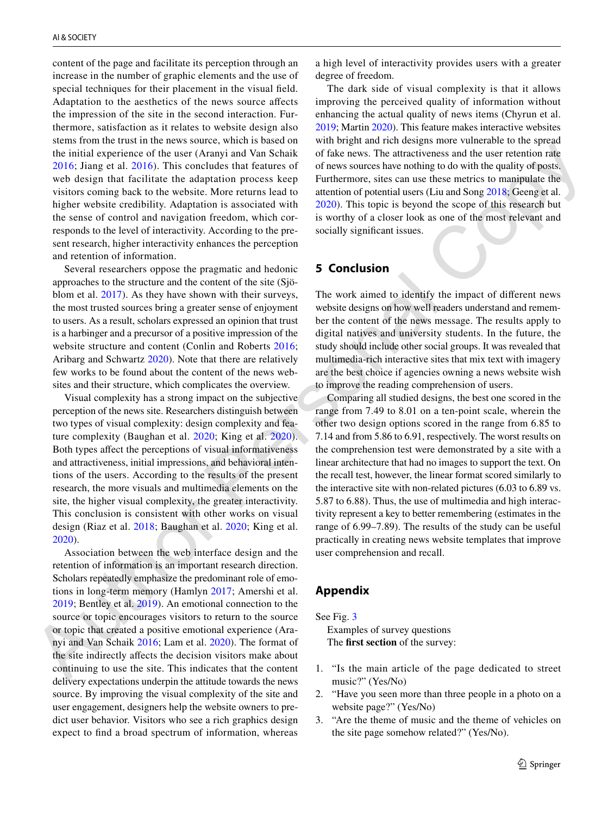content of the page and facilitate its perception through an increase in the number of graphic elements and the use of special techniques for their placement in the visual field. Adaptation to the aesthetics of the news source affects the impression of the site in the second interaction. Furthermore, satisfaction as it relates to website design also stems from the trust in the news source, which is based on the initial experience of the user (Aranyi and Van Schaik 2016; Jiang et al. 2016). This concludes that features of web design that facilitate the adaptation process keep visitors coming back to the website. More returns lead to higher website credibility. Adaptation is associated with the sense of control and navigation freedom, which corresponds to the level of interactivity. According to the present research, higher interactivity enhances the perception and retention of information.

Several researchers oppose the pragmatic and hedonic approaches to the structure and the content of the site (Sjöblom et al. 2017). As they have shown with their surveys, the most trusted sources bring a greater sense of enjoyment to users. As a result, scholars expressed an opinion that trust is a harbinger and a precursor of a positive impression of the website structure and content (Conlin and Roberts 2016; Aribarg and Schwartz 2020). Note that there are relatively few works to be found about the content of the news websites and their structure, which complicates the overview.

Visual complexity has a strong impact on the subjective perception of the news site. Researchers distinguish between two types of visual complexity: design complexity and feature complexity (Baughan et al. 2020; King et al. 2020). Both types affect the perceptions of visual informativeness and attractiveness, initial impressions, and behavioral intentions of the users. According to the results of the present research, the more visuals and multimedia elements on the site, the higher visual complexity, the greater interactivity. This conclusion is consistent with other works on visual design (Riaz et al. 2018; Baughan et al. 2020; King et al. 2020).

Association between the web interface design and the retention of information is an important research direction. Scholars repeatedly emphasize the predominant role of emotions in long-term memory (Hamlyn 2017; Amershi et al. 2019; Bentley et al. 2019). An emotional connection to the source or topic encourages visitors to return to the source or topic that created a positive emotional experience (Aranyi and Van Schaik 2016; Lam et al. 2020). The format of the site indirectly affects the decision visitors make about continuing to use the site. This indicates that the content delivery expectations underpin the attitude towards the news source. By improving the visual complexity of the site and user engagement, designers help the website owners to predict user behavior. Visitors who see a rich graphics design expect to find a broad spectrum of information, whereas

a high level of interactivity provides users with a greater degree of freedom.

The dark side of visual complexity is that it allows improving the perceived quality of information without enhancing the actual quality of news items (Chyrun et al. [2019](#page-7-13); Martin [2020\)](#page-8-16). This feature makes interactive websites with bright and rich designs more vulnerable to the spread of fake news. The attractiveness and the user retention rate of news sources have nothing to do with the quality of posts. Furthermore, sites can use these metrics to manipulate the attention of potential users (Liu and Song 2018; Geeng et al. 2020). This topic is beyond the scope of this research but is worthy of a closer look as one of the most relevant and socially significant issues.

## **5 Conclusion**

The work aimed to identify the impact of different news website designs on how well readers understand and remember the content of the news message. The results apply to digital natives and university students. In the future, the study should include other social groups. It was revealed that multimedia-rich interactive sites that mix text with imagery are the best choice if agencies owning a news website wish to improve the reading comprehension of users.

[th](#page-7-4)e initial experience [o](#page-8-1)f the best fitting and Mats Schutz of fitting corresponds and houv[er](#page-8-13), excitation of the search and the best search and the best search and the best search and the best search and the search and the Comparing all studied designs, the best one scored in the range from 7.49 to 8.01 on a ten-point scale, wherein the other two design options scored in the range from 6.85 to 7.14 and from 5.86 to 6.91, respectively. The worst results on the comprehension test were demonstrated by a site with a linear architecture that had no images to support the text. On the recall test, however, the linear format scored similarly to the interactive site with non-related pictures (6.03 to 6.89 vs. 5.87 to 6.88). Thus, the use of multimedia and high interactivity represent a key to better remembering (estimates in the range of 6.99–7.89). The results of the study can be useful practically in creating news website templates that improve user comprehension and recall.

### **Appendix**

See Fig. 3

Examples of survey questions The **first section** of the survey:

- 1. "Is the main article of the page dedicated to street music?" (Yes/No)
- 2. "Have you seen more than three people in a photo on a website page?" (Yes/No)
- 3. "Are the theme of music and the theme of vehicles on the site page somehow related?" (Yes/No).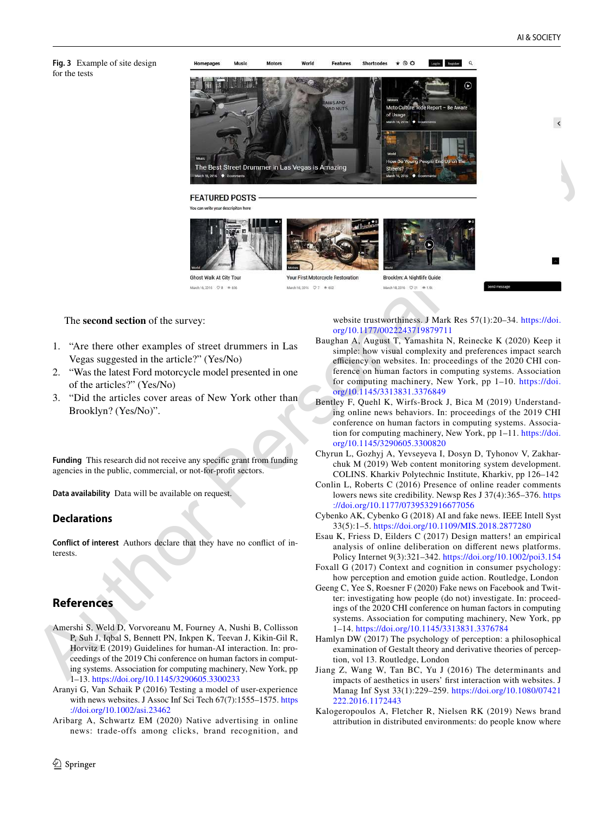$\overline{\phantom{a}}$ 

<span id="page-7-14"></span>**Fig. 3** Example of site design for the tests



website trustworthiness. J Mark Res 57(1):20-34. https://doi. org/10.1177/00222 43719 87971 1

- <span id="page-7-8"></span>Baughan A, August T, Yamashita N, Reinecke K (2020) Keep it simple: how visual complexity and preferences impact search efficiency on websites. In: proceedings of the 2020 CHI conference on human factors in computing systems. Association for computing machinery, New York, pp 1-10. https://doi. org/10.1145/3313831.3376849
- <span id="page-7-4"></span>Bentley F, Quehl K, Wirfs-Brock J, Bica M (2019) Understanding online news behaviors. In: proceedings of the 2019 CHI conference on human factors in computing systems. Association for computing machinery, New York, pp 1–11. https://doi. org/10.1145/3290605.3300820
- <span id="page-7-13"></span>Chyrun L, Gozhyj A, Yevseyeva I, Dosyn D, Tyhonov V, Zakharchuk M (2019) Web content monitoring system development. COLINS. Kharkiv Polytechnic Institute, Kharkiv, pp 126–142
- <span id="page-7-5"></span>Conlin L, Roberts C (2016) Presence of online reader comments lowers news site credibility. Newsp Res J 37(4):365–376. https ://doi.org/10.1177/0739532916677056
- <span id="page-7-10"></span>Cybenko AK, Cybenko G (2018) AI and fake news. IEEE Intell Syst 33(5):1–5. https ://doi.org/10.1109/MIS.2018.28772 80
- <span id="page-7-0"></span>Esau K, Friess D, Eilders C (2017) Design matters! an empirical analysis of online deliberation on different news platforms. Policy Internet 9(3):321–342. https ://doi.org/10.1002/poi3.154
- <span id="page-7-3"></span>Foxall G (2017) Context and cognition in consumer psychology: how perception and emotion guide action. Routledge, London
- <span id="page-7-11"></span>Geeng C, Yee S, Roesner F (2020) Fake news on Facebook and Twitter: investigating how people (do not) investigate. In: proceedings of the 2020 CHI conference on human factors in computing systems. Association for computing machinery, New York, pp 1–14. https ://doi.org/10.1145/33138 31.33767 84
- <span id="page-7-1"></span>Hamlyn DW (2017) The psychology of perception: a philosophical examination of Gestalt theory and derivative theories of perception, vol 13. Routledge, London
- <span id="page-7-12"></span>Jiang Z, Wang W, Tan BC, Yu J (2016) The determinants and impacts of aesthetics in users' first interaction with websites. J Manag Inf Syst 33(1):229–259. [https ://doi.org/10.1080/07421](https://doi.org/10.1080/07421222.2016.1172443) 222.2016.1172443
- <span id="page-7-2"></span>Kalogeropoulos A, Fletcher R, Nielsen RK (2019) News brand attribution in distributed environments: do people know where

### The **second section** of the survey:

- 1. "Are there other examples of street drummers in Las Vegas suggested in the article?" (Yes/No)
- 2. "Was the latest Ford motorcycle model presented in one of the articles?" (Yes/No)
- 3. "Did the articles cover areas of New York other than Brooklyn? (Yes/No)".

**Funding** This research did not receive any specific grant from funding agencies in the public, commercial, or not-for-profit sectors.

**Data availability** Data will be available on request.

### **Declarations**

**Conflict of interest** Authors declare that they have no conflict of interests.

## **References**

- <span id="page-7-9"></span>Amershi S, Weld D, Vorvoreanu M, Fourney A, Nushi B, Collisson P, Suh J, Iqbal S, Bennett PN, Inkpen K, Teevan J, Kikin-Gil R, Horvitz E (2019) Guidelines for human-AI interaction. In: proceedings of the 2019 Chi conference on human factors in computing systems. Association for computing machinery, New York, pp 1-13. https://doi.org/10.1145/3290605.3300233
- <span id="page-7-6"></span>Aranyi G, Van Schaik P (2016) Testing a model of user-experience with news websites. J Assoc Inf Sci Tech 67(7):1555–1575. [https](https://doi.org/10.1002/asi.23462) [://doi.org/10.1002/asi.23462](https://doi.org/10.1002/asi.23462)
- <span id="page-7-7"></span>Aribarg A, Schwartz EM (2020) Native advertising in online news: trade-offs among clicks, brand recognition, and